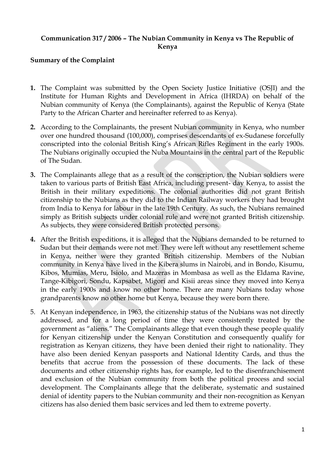### **Communication 317 / 2006 – The Nubian Community in Kenya vs The Republic of Kenya**

#### **Summary of the Complaint**

- **1.** The Complaint was submitted by the Open Society Justice Initiative (OSJI) and the Institute for Human Rights and Development in Africa (IHRDA) on behalf of the Nubian community of Kenya (the Complainants), against the Republic of Kenya (State Party to the African Charter and hereinafter referred to as Kenya).
- **2.** According to the Complainants, the present Nubian community in Kenya, who number over one hundred thousand (100,000), comprises descendants of ex-Sudanese forcefully conscripted into the colonial British King's African Rifles Regiment in the early 1900s. The Nubians originally occupied the Nuba Mountains in the central part of the Republic of The Sudan.
- **3.** The Complainants allege that as a result of the conscription, the Nubian soldiers were taken to various parts of British East Africa, including present- day Kenya, to assist the British in their military expeditions. The colonial authorities did not grant British citizenship to the Nubians as they did to the Indian Railway workers they had brought from India to Kenya for labour in the late 19th Century. As such, the Nubians remained simply as British subjects under colonial rule and were not granted British citizenship. As subjects, they were considered British protected persons.
- **4.** After the British expeditions, it is alleged that the Nubians demanded to be returned to Sudan but their demands were not met. They were left without any resettlement scheme in Kenya, neither were they granted British citizenship. Members of the Nubian community in Kenya have lived in the Kibera slums in Nairobi, and in Bondo, Kisumu, Kibos, Mumias, Meru, Isiolo, and Mazeras in Mombasa as well as the Eldama Ravine, Tange-Kibigori, Sondu, Kapsabet, Migori and Kisii areas since they moved into Kenya in the early 1900s and know no other home. There are many Nubians today whose grandparents know no other home but Kenya, because they were born there.
- 5. At Kenyan independence, in 1963, the citizenship status of the Nubians was not directly addressed, and for a long period of time they were consistently treated by the government as "aliens." The Complainants allege that even though these people qualify for Kenyan citizenship under the Kenyan Constitution and consequently qualify for registration as Kenyan citizens, they have been denied their right to nationality. They have also been denied Kenyan passports and National Identity Cards, and thus the benefits that accrue from the possession of these documents. The lack of these documents and other citizenship rights has, for example, led to the disenfranchisement and exclusion of the Nubian community from both the political process and social development. The Complainants allege that the deliberate, systematic and sustained denial of identity papers to the Nubian community and their non-recognition as Kenyan citizens has also denied them basic services and led them to extreme poverty.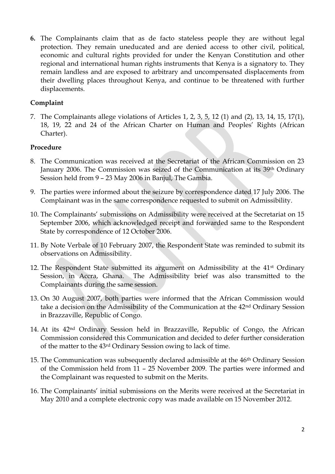**6.** The Complainants claim that as de facto stateless people they are without legal protection. They remain uneducated and are denied access to other civil, political, economic and cultural rights provided for under the Kenyan Constitution and other regional and international human rights instruments that Kenya is a signatory to. They remain landless and are exposed to arbitrary and uncompensated displacements from their dwelling places throughout Kenya, and continue to be threatened with further displacements.

### **Complaint**

7. The Complainants allege violations of Articles 1, 2, 3, 5, 12 (1) and (2), 13, 14, 15, 17(1), 18, 19, 22 and 24 of the African Charter on Human and Peoples' Rights (African Charter).

#### **Procedure**

- 8. The Communication was received at the Secretariat of the African Commission on 23 January 2006. The Commission was seized of the Communication at its 39th Ordinary Session held from 9 – 23 May 2006 in Banjul, The Gambia.
- 9. The parties were informed about the seizure by correspondence dated 17 July 2006. The Complainant was in the same correspondence requested to submit on Admissibility.
- 10. The Complainants' submissions on Admissibility were received at the Secretariat on 15 September 2006, which acknowledged receipt and forwarded same to the Respondent State by correspondence of 12 October 2006.
- 11. By Note Verbale of 10 February 2007, the Respondent State was reminded to submit its observations on Admissibility.
- 12. The Respondent State submitted its argument on Admissibility at the 41<sup>st</sup> Ordinary Session, in Accra, Ghana. The Admissibility brief was also transmitted to the Complainants during the same session.
- 13. On 30 August 2007, both parties were informed that the African Commission would take a decision on the Admissibility of the Communication at the 42nd Ordinary Session in Brazzaville, Republic of Congo.
- 14. At its 42nd Ordinary Session held in Brazzaville, Republic of Congo, the African Commission considered this Communication and decided to defer further consideration of the matter to the 43rd Ordinary Session owing to lack of time.
- 15. The Communication was subsequently declared admissible at the 46th Ordinary Session of the Commission held from 11 – 25 November 2009. The parties were informed and the Complainant was requested to submit on the Merits.
- 16. The Complainants' initial submissions on the Merits were received at the Secretariat in May 2010 and a complete electronic copy was made available on 15 November 2012.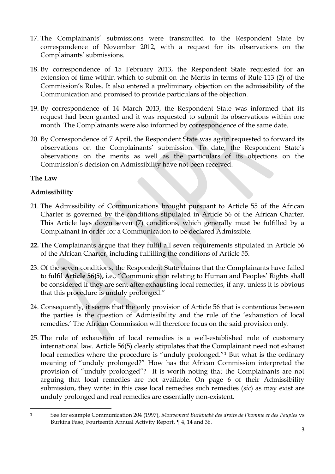- 17. The Complainants' submissions were transmitted to the Respondent State by correspondence of November 2012, with a request for its observations on the Complainants' submissions.
- 18. By correspondence of 15 February 2013, the Respondent State requested for an extension of time within which to submit on the Merits in terms of Rule 113 (2) of the Commission's Rules. It also entered a preliminary objection on the admissibility of the Communication and promised to provide particulars of the objection.
- 19. By correspondence of 14 March 2013, the Respondent State was informed that its request had been granted and it was requested to submit its observations within one month. The Complainants were also informed by correspondence of the same date.
- 20. By Correspondence of 7 April, the Respondent State was again requested to forward its observations on the Complainants' submission. To date, the Respondent State's observations on the merits as well as the particulars of its objections on the Commission's decision on Admissibility have not been received.

### **The Law**

### **Admissibility**

- 21. The Admissibility of Communications brought pursuant to Article 55 of the African Charter is governed by the conditions stipulated in Article 56 of the African Charter. This Article lays down seven (7) conditions, which generally must be fulfilled by a Complainant in order for a Communication to be declared Admissible.
- **22.** The Complainants argue that they fulfil all seven requirements stipulated in Article 56 of the African Charter, including fulfilling the conditions of Article 55.
- 23. Of the seven conditions, the Respondent State claims that the Complainants have failed to fulfil **Article 56(5),** i.e., "Communication relating to Human and Peoples' Rights shall be considered if they are sent after exhausting local remedies, if any, unless it is obvious that this procedure is unduly prolonged."
- 24. Consequently, it seems that the only provision of Article 56 that is contentious between the parties is the question of Admissibility and the rule of the 'exhaustion of local remedies.' The African Commission will therefore focus on the said provision only.
- 25. The rule of exhaustion of local remedies is a well-established rule of customary international law. Article 56(5) clearly stipulates that the Complainant need not exhaust local remedies where the procedure is "unduly prolonged."**<sup>1</sup>** But what is the ordinary meaning of "unduly prolonged?" How has the African Commission interpreted the provision of "unduly prolonged"? It is worth noting that the Complainants are not arguing that local remedies are not available. On page 6 of their Admissibility submission, they write: in this case local remedies such remedies (*sic*) as may exist are unduly prolonged and real remedies are essentially non-existent.

<sup>1</sup> **<sup>1</sup>** See for example Communication 204 (1997), *Mouvement Burkinabé des droits de l'homme et des Peuples* vs Burkina Faso, Fourteenth Annual Activity Report, ¶ 4, 14 and 36.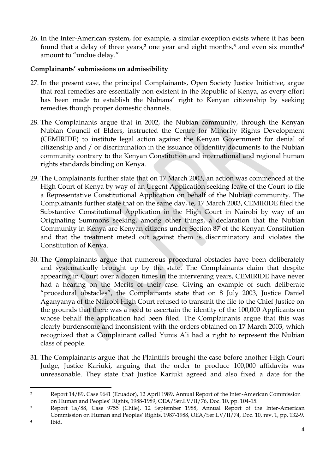26. In the Inter-American system, for example, a similar exception exists where it has been found that a delay of three years,**<sup>2</sup>** one year and eight months,**<sup>3</sup>** and even six months**<sup>4</sup>** amount to "undue delay."

#### **Complainants' submissions on admissibility**

- 27. In the present case, the principal Complainants, Open Society Justice Initiative, argue that real remedies are essentially non-existent in the Republic of Kenya, as every effort has been made to establish the Nubians' right to Kenyan citizenship by seeking remedies though proper domestic channels.
- 28. The Complainants argue that in 2002, the Nubian community, through the Kenyan Nubian Council of Elders, instructed the Centre for Minority Rights Development (CEMIRIDE) to institute legal action against the Kenyan Government for denial of citizenship and / or discrimination in the issuance of identity documents to the Nubian community contrary to the Kenyan Constitution and international and regional human rights standards binding on Kenya.
- 29. The Complainants further state that on 17 March 2003, an action was commenced at the High Court of Kenya by way of an Urgent Application seeking leave of the Court to file a Representative Constitutional Application on behalf of the Nubian community. The Complainants further state that on the same day, ie, 17 March 2003, CEMIRIDE filed the Substantive Constitutional Application in the High Court in Nairobi by way of an Originating Summons seeking, among other things, a declaration that the Nubian Community in Kenya are Kenyan citizens under Section 87 of the Kenyan Constitution and that the treatment meted out against them is discriminatory and violates the Constitution of Kenya.
- 30. The Complainants argue that numerous procedural obstacles have been deliberately and systematically brought up by the state. The Complainants claim that despite appearing in Court over a dozen times in the intervening years, CEMIRIDE have never had a hearing on the Merits of their case. Giving an example of such deliberate "procedural obstacles", the Complainants state that on 8 July 2003, Justice Daniel Aganyanya of the Nairobi High Court refused to transmit the file to the Chief Justice on the grounds that there was a need to ascertain the identity of the 100,000 Applicants on whose behalf the application had been filed. The Complainants argue that this was clearly burdensome and inconsistent with the orders obtained on 17 March 2003, which recognized that a Complainant called Yunis Ali had a right to represent the Nubian class of people.
- 31. The Complainants argue that the Plaintiffs brought the case before another High Court Judge, Justice Kariuki, arguing that the order to produce 100,000 affidavits was unreasonable. They state that Justice Kariuki agreed and also fixed a date for the

**<sup>.</sup> <sup>2</sup>** Report 14/89, Case 9641 (Ecuador), 12 April 1989, Annual Report of the Inter-American Commission on Human and Peoples' Rights, 1988-1989, OEA/Ser.LV/II/76, Doc. 10, pp. 104-15.

**<sup>3</sup>** Report 1a/88, Case 9755 (Chile), 12 September 1988, Annual Report of the Inter-American Commission on Human and Peoples' Rights, 1987-1988, OEA/Ser.LV/II/74, Doc. 10, rev. 1, pp. 132-9. **4** Ibid.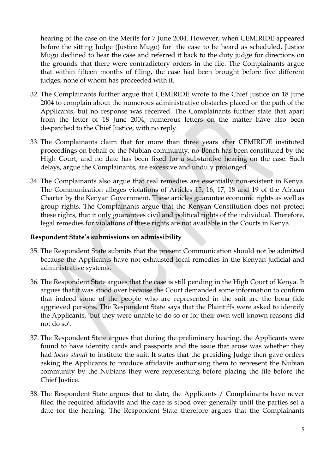hearing of the case on the Merits for 7 June 2004. However, when CEMIRIDE appeared before the sitting Judge (Justice Mugo) for the case to be heard as scheduled, Justice Mugo declined to hear the case and referred it back to the duty judge for directions on the grounds that there were contradictory orders in the file. The Complainants argue that within fifteen months of filing, the case had been brought before five different judges, none of whom has proceeded with it.

- 32. The Complainants further argue that CEMIRIDE wrote to the Chief Justice on 18 June 2004 to complain about the numerous administrative obstacles placed on the path of the Applicants, but no response was received. The Complainants further state that apart from the letter of 18 June 2004, numerous letters on the matter have also been despatched to the Chief Justice, with no reply.
- 33. The Complainants claim that for more than three years after CEMIRIDE instituted proceedings on behalf of the Nubian community, no Bench has been constituted by the High Court, and no date has been fixed for a substantive hearing on the case. Such delays, argue the Complainants, are excessive and unduly prolonged.
- 34. The Complainants also argue that real remedies are essentially non-existent in Kenya. The Communication alleges violations of Articles 15, 16, 17, 18 and 19 of the African Charter by the Kenyan Government. These articles guarantee economic rights as well as group rights. The Complainants argue that the Kenyan Constitution does not protect these rights, that it only guarantees civil and political rights of the individual. Therefore, legal remedies for violations of these rights are not available in the Courts in Kenya.

#### **Respondent State's submissions on admissibility**

- 35. The Respondent State submits that the present Communication should not be admitted because the Applicants have not exhausted local remedies in the Kenyan judicial and administrative systems.
- 36. The Respondent State argues that the case is still pending in the High Court of Kenya. It argues that it was stood over because the Court demanded some information to confirm that indeed some of the people who are represented in the suit are the bona fide aggrieved persons. The Respondent State says that the Plaintiffs were asked to identify the Applicants, 'but they were unable to do so or for their own well-known reasons did not do so'.
- 37. The Respondent State argues that during the preliminary hearing, the Applicants were found to have identity cards and passports and the issue that arose was whether they had *locus standi* to institute the suit. It states that the presiding Judge then gave orders asking the Applicants to produce affidavits authorising them to represent the Nubian community by the Nubians they were representing before placing the file before the Chief Justice.
- 38. The Respondent State argues that to date, the Applicants / Complainants have never filed the required affidavits and the case is stood over generally until the parties set a date for the hearing. The Respondent State therefore argues that the Complainants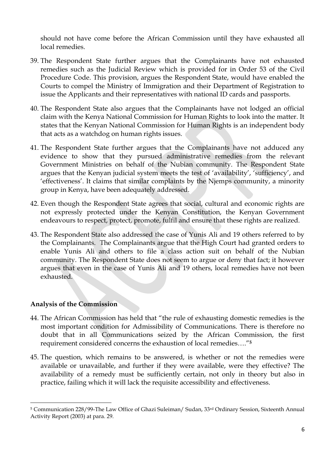should not have come before the African Commission until they have exhausted all local remedies.

- 39. The Respondent State further argues that the Complainants have not exhausted remedies such as the Judicial Review which is provided for in Order 53 of the Civil Procedure Code. This provision, argues the Respondent State, would have enabled the Courts to compel the Ministry of Immigration and their Department of Registration to issue the Applicants and their representatives with national ID cards and passports.
- 40. The Respondent State also argues that the Complainants have not lodged an official claim with the Kenya National Commission for Human Rights to look into the matter. It states that the Kenyan National Commission for Human Rights is an independent body that acts as a watchdog on human rights issues.
- 41. The Respondent State further argues that the Complainants have not adduced any evidence to show that they pursued administrative remedies from the relevant Government Ministries on behalf of the Nubian community. The Respondent State argues that the Kenyan judicial system meets the test of 'availability', 'sufficiency', and 'effectiveness'. It claims that similar complaints by the Njemps community, a minority group in Kenya, have been adequately addressed.
- 42. Even though the Respondent State agrees that social, cultural and economic rights are not expressly protected under the Kenyan Constitution, the Kenyan Government endeavours to respect, protect, promote, fulfil and ensure that these rights are realized.
- 43. The Respondent State also addressed the case of Yunis Ali and 19 others referred to by the Complainants. The Complainants argue that the High Court had granted orders to enable Yunis Ali and others to file a class action suit on behalf of the Nubian community. The Respondent State does not seem to argue or deny that fact; it however argues that even in the case of Yunis Ali and 19 others, local remedies have not been exhausted.

### **Analysis of the Commission**

 $\overline{a}$ 

- 44. The African Commission has held that "the rule of exhausting domestic remedies is the most important condition for Admissibility of Communications. There is therefore no doubt that in all Communications seized by the African Commission, the first requirement considered concerns the exhaustion of local remedies…."**<sup>5</sup>**
- 45. The question, which remains to be answered, is whether or not the remedies were available or unavailable, and further if they were available, were they effective? The availability of a remedy must be sufficiently certain, not only in theory but also in practice, failing which it will lack the requisite accessibility and effectiveness.

<sup>5</sup> Communication 228/99-The Law Office of Ghazi Suleiman/ Sudan, 33rd Ordinary Session, Sixteenth Annual Activity Report (2003) at para. 29.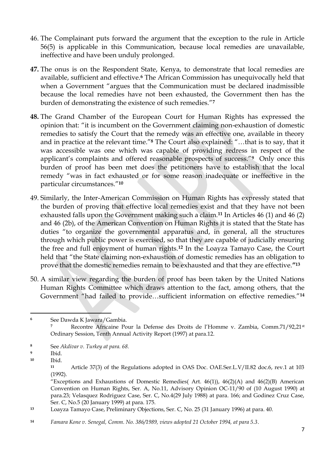- 46. The Complainant puts forward the argument that the exception to the rule in Article 56(5) is applicable in this Communication, because local remedies are unavailable, ineffective and have been unduly prolonged.
- **47.** The onus is on the Respondent State, Kenya, to demonstrate that local remedies are available, sufficient and effective.**<sup>6</sup>** The African Commission has unequivocally held that when a Government "argues that the Communication must be declared inadmissible because the local remedies have not been exhausted, the Government then has the burden of demonstrating the existence of such remedies."**<sup>7</sup>**
- **48.** The Grand Chamber of the European Court for Human Rights has expressed the opinion that: "it is incumbent on the Government claiming non-exhaustion of domestic remedies to satisfy the Court that the remedy was an effective one, available in theory and in practice at the relevant time."**<sup>8</sup>** The Court also explained: "…that is to say, that it was accessible was one which was capable of providing redress in respect of the applicant's complaints and offered reasonable prospects of success."**<sup>9</sup>** Only once this burden of proof has been met does the petitioners have to establish that the local remedy "was in fact exhausted or for some reason inadequate or ineffective in the particular circumstances."**<sup>10</sup>**
- 49. Similarly, the Inter-American Commission on Human Rights has expressly stated that the burden of proving that effective local remedies exist and that they have not been exhausted falls upon the Government making such a claim.**<sup>11</sup>** In Articles 46 (1) and 46 (2) and 46 (2b), of the American Convention on Human Rights it is stated that the State has duties "to organize the governmental apparatus and, in general, all the structures through which public power is exercised, so that they are capable of judicially ensuring the free and full enjoyment of human rights.**<sup>12</sup>** In the Loayza Tamayo Case, the Court held that "the State claiming non-exhaustion of domestic remedies has an obligation to prove that the domestic remedies remain to be exhausted and that they are effective.**"<sup>13</sup>**
- 50. A similar view regarding the burden of proof has been taken by the United Nations Human Rights Committee which draws attention to the fact, among others, that the Government "had failed to provide…sufficient information on effective remedies."**<sup>14</sup>**

**<sup>6</sup>** See Dawda K Jawara/Gambia. Recontre Africaine Pour la Defense des Droits de l'Homme v. Zambia, Comm.71/92,21<sup>st</sup> Ordinary Session, Tenth Annual Activity Report (1997) at para.12.

**<sup>8</sup>** See *Akdivar v. Turkey at para. 68.*

**<sup>9</sup>** Ibid.

**<sup>10</sup>** Ibid.

**<sup>11</sup>** Article 37(3) of the Regulations adopted in OAS Doc. OAE.Ser.L.V/II.82 doc.6, rev.1 at 103 (1992).

<sup>&</sup>quot;Exceptions and Exhaustions of Domestic Remedies( Art. 46(1)), 46(2)(A) and 46(2)(B) American Convention on Human Rights, Ser. A, No.11, Advisory Opinion OC-11/90 of (10 August 1990) at para.23; Velasquez Rodriguez Case, Ser. C, No.4(29 July 1988) at para. 166; and Godinez Cruz Case, Ser. C, No.5 (20 January 1999) at para. 175.

**<sup>13</sup>** Loayza Tamayo Case, Preliminary Objections, Ser. C, No. 25 (31 January 1996) at para. 40.

**<sup>14</sup>** *Famara Kone v. Senegal, Comm. No. 386/1989, views adopted 21 October 1994, at para 5.3*.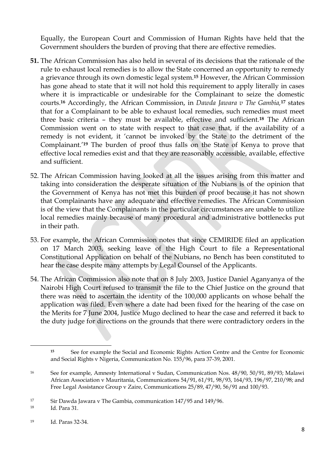Equally, the European Court and Commission of Human Rights have held that the Government shoulders the burden of proving that there are effective remedies.

- **51.** The African Commission has also held in several of its decisions that the rationale of the rule to exhaust local remedies is to allow the State concerned an opportunity to remedy a grievance through its own domestic legal system.**<sup>15</sup>** However, the African Commission has gone ahead to state that it will not hold this requirement to apply literally in cases where it is impracticable or undesirable for the Complainant to seize the domestic courts.**<sup>16</sup>** Accordingly, the African Commission, in *Dawda Jawara v The Gambia,***<sup>17</sup>** states that for a Complainant to be able to exhaust local remedies, such remedies must meet three basic criteria – they must be available, effective and sufficient.**<sup>18</sup>** The African Commission went on to state with respect to that case that, if the availability of a remedy is not evident, it 'cannot be invoked by the State to the detriment of the Complainant.'**<sup>19</sup>** The burden of proof thus falls on the State of Kenya to prove that effective local remedies exist and that they are reasonably accessible, available, effective and sufficient.
- 52. The African Commission having looked at all the issues arising from this matter and taking into consideration the desperate situation of the Nubians is of the opinion that the Government of Kenya has not met this burden of proof because it has not shown that Complainants have any adequate and effective remedies. The African Commission is of the view that the Complainants in the particular circumstances are unable to utilize local remedies mainly because of many procedural and administrative bottlenecks put in their path.
- 53. For example, the African Commission notes that since CEMIRIDE filed an application on 17 March 2003, seeking leave of the High Court to file a Representational Constitutional Application on behalf of the Nubians, no Bench has been constituted to hear the case despite many attempts by Legal Counsel of the Applicants.
- 54. The African Commission also note that on 8 July 2003, Justice Daniel Aganyanya of the Nairobi High Court refused to transmit the file to the Chief Justice on the ground that there was need to ascertain the identity of the 100,000 applicants on whose behalf the application was filed. Even where a date had been fixed for the hearing of the case on the Merits for 7 June 2004, Justice Mugo declined to hear the case and referred it back to the duty judge for directions on the grounds that there were contradictory orders in the

**<sup>15</sup>** See for example the Social and Economic Rights Action Centre and the Centre for Economic and Social Rights v Nigeria, Communication No. 155/96, para 37-39, 2001.

<sup>16</sup> See for example, Amnesty International v Sudan, Communication Nos. 48/90, 50/91, 89/93; Malawi African Association v Mauritania, Communications 54/91, 61/91, 98/93, 164/93, 196/97, 210/98; and Free Legal Assistance Group v Zaire, Communications 25/89, 47/90, 56/91 and 100/93.

<sup>&</sup>lt;sup>17</sup> Sir Dawda Jawara v The Gambia, communication 147/95 and 149/96.

<sup>18</sup> Id. Para 31.

<sup>19</sup> Id. Paras 32-34.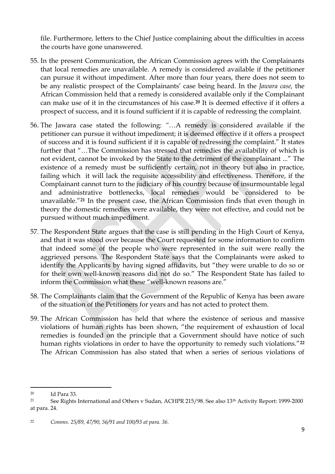file. Furthermore, letters to the Chief Justice complaining about the difficulties in access the courts have gone unanswered.

- 55. In the present Communication, the African Commission agrees with the Complainants that local remedies are unavailable. A remedy is considered available if the petitioner can pursue it without impediment. After more than four years, there does not seem to be any realistic prospect of the Complainants' case being heard. In the *Jawara case,* the African Commission held that a remedy is considered available only if the Complainant can make use of it in the circumstances of his case.**<sup>20</sup>** It is deemed effective if it offers a prospect of success, and it is found sufficient if it is capable of redressing the complaint.
- 56. The Jawara case stated the following: *"…*A remedy is considered available if the petitioner can pursue it without impediment; it is deemed effective if it offers a prospect of success and it is found sufficient if it is capable of redressing the complaint." It states further that "…The Commission has stressed that remedies the availability of which is not evident, cannot be invoked by the State to the detriment of the complainant ..." The existence of a remedy must be sufficiently certain, not in theory but also in practice, failing which it will lack the requisite accessibility and effectiveness. Therefore, if the Complainant cannot turn to the judiciary of his country because of insurmountable legal and administrative bottlenecks, local remedies would be considered to be unavailable."**<sup>21</sup>** In the present case, the African Commission finds that even though in theory the domestic remedies were available, they were not effective, and could not be pursued without much impediment.
- 57. The Respondent State argues that the case is still pending in the High Court of Kenya, and that it was stood over because the Court requested for some information to confirm that indeed some of the people who were represented in the suit were really the aggrieved persons. The Respondent State says that the Complainants were asked to identify the Applicants by having signed affidavits, but "they were unable to do so or for their own well-known reasons did not do so." The Respondent State has failed to inform the Commission what these "well-known reasons are."
- 58. The Complainants claim that the Government of the Republic of Kenya has been aware of the situation of the Petitioners for years and has not acted to protect them.
- 59. The African Commission has held that where the existence of serious and massive violations of human rights has been shown, "the requirement of exhaustion of local remedies is founded on the principle that a Government should have notice of such human rights violations in order to have the opportunity to remedy such violations."**<sup>22</sup>** The African Commission has also stated that when a series of serious violations of

<sup>20</sup> Id Para 33.

<sup>21</sup> See Rights International and Others v Sudan, ACHPR 215/98. See also 13th Activity Report: 1999-2000 at para. 24.

<sup>22</sup> *Comms. 25/89, 47/90, 56/91 and 100/93 at para. 36.*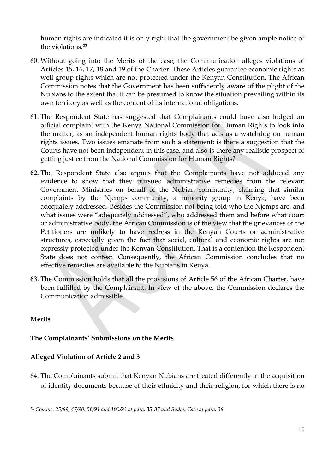human rights are indicated it is only right that the government be given ample notice of the violations.**<sup>23</sup>**

- 60. Without going into the Merits of the case, the Communication alleges violations of Articles 15, 16, 17, 18 and 19 of the Charter. These Articles guarantee economic rights as well group rights which are not protected under the Kenyan Constitution. The African Commission notes that the Government has been sufficiently aware of the plight of the Nubians to the extent that it can be presumed to know the situation prevailing within its own territory as well as the content of its international obligations.
- 61. The Respondent State has suggested that Complainants could have also lodged an official complaint with the Kenya National Commission for Human Rights to look into the matter, as an independent human rights body that acts as a watchdog on human rights issues. Two issues emanate from such a statement: is there a suggestion that the Courts have not been independent in this case, and also is there any realistic prospect of getting justice from the National Commission for Human Rights?
- **62.** The Respondent State also argues that the Complainants have not adduced any evidence to show that they pursued administrative remedies from the relevant Government Ministries on behalf of the Nubian community, claiming that similar complaints by the Njemps community, a minority group in Kenya, have been adequately addressed. Besides the Commission not being told who the Njemps are, and what issues were "adequately addressed", who addressed them and before what court or administrative body, the African Commission is of the view that the grievances of the Petitioners are unlikely to have redress in the Kenyan Courts or administrative structures, especially given the fact that social, cultural and economic rights are not expressly protected under the Kenyan Constitution. That is a contention the Respondent State does not contest. Consequently, the African Commission concludes that no effective remedies are available to the Nubians in Kenya.
- **63.** The Commission holds that all the provisions of Article 56 of the African Charter, have been fulfilled by the Complainant. In view of the above, the Commission declares the Communication admissible.

### **Merits**

# **The Complainants' Submissions on the Merits**

### **Alleged Violation of Article 2 and 3**

64. The Complainants submit that Kenyan Nubians are treated differently in the acquisition of identity documents because of their ethnicity and their religion, for which there is no

 $\overline{a}$ <sup>23</sup> *Comms. 25/89, 47/90, 56/91 and 100/93 at para. 35-37 and Sudan Case at para. 38.*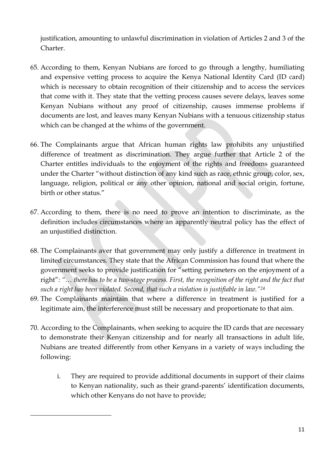justification, amounting to unlawful discrimination in violation of Articles 2 and 3 of the Charter.

- 65. According to them, Kenyan Nubians are forced to go through a lengthy, humiliating and expensive vetting process to acquire the Kenya National Identity Card (ID card) which is necessary to obtain recognition of their citizenship and to access the services that come with it. They state that the vetting process causes severe delays, leaves some Kenyan Nubians without any proof of citizenship, causes immense problems if documents are lost, and leaves many Kenyan Nubians with a tenuous citizenship status which can be changed at the whims of the government.
- 66. The Complainants argue that African human rights law prohibits any unjustified difference of treatment as discrimination. They argue further that Article 2 of the Charter entitles individuals to the enjoyment of the rights and freedoms guaranteed under the Charter "without distinction of any kind such as race, ethnic group, color, sex, language, religion, political or any other opinion, national and social origin, fortune, birth or other status."
- 67. According to them, there is no need to prove an intention to discriminate, as the definition includes circumstances where an apparently neutral policy has the effect of an unjustified distinction.
- 68. The Complainants aver that government may only justify a difference in treatment in limited circumstances. They state that the African Commission has found that where the government seeks to provide justification for "setting perimeters on the enjoyment of a right": *"… there has to be a two-stage process. First, the recognition of the right and the fact that such a right has been violated. Second, that such a violation is justifiable in law."<sup>24</sup>*
- 69. The Complainants maintain that where a difference in treatment is justified for a legitimate aim, the interference must still be necessary and proportionate to that aim.
- 70. According to the Complainants, when seeking to acquire the ID cards that are necessary to demonstrate their Kenyan citizenship and for nearly all transactions in adult life, Nubians are treated differently from other Kenyans in a variety of ways including the following:

1

i. They are required to provide additional documents in support of their claims to Kenyan nationality, such as their grand-parents' identification documents, which other Kenyans do not have to provide;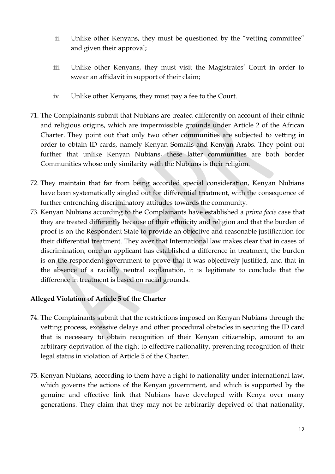- ii. Unlike other Kenyans, they must be questioned by the "vetting committee" and given their approval;
- iii. Unlike other Kenyans, they must visit the Magistrates' Court in order to swear an affidavit in support of their claim;
- iv. Unlike other Kenyans, they must pay a fee to the Court.
- 71. The Complainants submit that Nubians are treated differently on account of their ethnic and religious origins, which are impermissible grounds under Article 2 of the African Charter. They point out that only two other communities are subjected to vetting in order to obtain ID cards, namely Kenyan Somalis and Kenyan Arabs. They point out further that unlike Kenyan Nubians, these latter communities are both border Communities whose only similarity with the Nubians is their religion.
- 72. They maintain that far from being accorded special consideration, Kenyan Nubians have been systematically singled out for differential treatment, with the consequence of further entrenching discriminatory attitudes towards the community.
- 73. Kenyan Nubians according to the Complainants have established a *prima facie* case that they are treated differently because of their ethnicity and religion and that the burden of proof is on the Respondent State to provide an objective and reasonable justification for their differential treatment. They aver that International law makes clear that in cases of discrimination, once an applicant has established a difference in treatment, the burden is on the respondent government to prove that it was objectively justified, and that in the absence of a racially neutral explanation, it is legitimate to conclude that the difference in treatment is based on racial grounds.

# **Alleged Violation of Article 5 of the Charter**

- 74. The Complainants submit that the restrictions imposed on Kenyan Nubians through the vetting process, excessive delays and other procedural obstacles in securing the ID card that is necessary to obtain recognition of their Kenyan citizenship, amount to an arbitrary deprivation of the right to effective nationality, preventing recognition of their legal status in violation of Article 5 of the Charter.
- 75. Kenyan Nubians, according to them have a right to nationality under international law, which governs the actions of the Kenyan government, and which is supported by the genuine and effective link that Nubians have developed with Kenya over many generations. They claim that they may not be arbitrarily deprived of that nationality,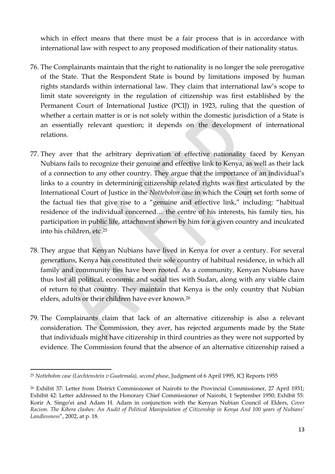which in effect means that there must be a fair process that is in accordance with international law with respect to any proposed modification of their nationality status.

- 76. The Complainants maintain that the right to nationality is no longer the sole prerogative of the State. That the Respondent State is bound by limitations imposed by human rights standards within international law. They claim that international law's scope to limit state sovereignty in the regulation of citizenship was first established by the Permanent Court of International Justice (PCIJ) in 1923, ruling that the question of whether a certain matter is or is not solely within the domestic jurisdiction of a State is an essentially relevant question; it depends on the development of international relations.
- 77. They aver that the arbitrary deprivation of effective nationality faced by Kenyan Nubians fails to recognize their genuine and effective link to Kenya, as well as their lack of a connection to any other country. They argue that the importance of an individual's links to a country in determining citizenship related rights was first articulated by the International Court of Justice in the *Nottebohm case* in which the Court set forth some of the factual ties that give rise to a "genuine and effective link," including: "habitual residence of the individual concerned… the centre of his interests, his family ties, his participation in public life, attachment shown by him for a given country and inculcated into his children, etc.<sup>25</sup>
- 78. They argue that Kenyan Nubians have lived in Kenya for over a century. For several generations, Kenya has constituted their sole country of habitual residence, in which all family and community ties have been rooted. As a community, Kenyan Nubians have thus lost all political, economic and social ties with Sudan, along with any viable claim of return to that country. They maintain that Kenya is the only country that Nubian elders, adults or their children have ever known.<sup>26</sup>
- 79. The Complainants claim that lack of an alternative citizenship is also a relevant consideration. The Commission, they aver, has rejected arguments made by the State that individuals might have citizenship in third countries as they were not supported by evidence. The Commission found that the absence of an alternative citizenship raised a

1

<sup>25</sup> *Nottebohm case (Liechtenstein v Guatemala), second phase*, Judgment of 6 April 1995, ICJ Reports 1955

<sup>26</sup> Exhibit 37: Letter from District Commissioner of Nairobi to the Provincial Commissioner, 27 April 1931; Exhibit 42: Letter addressed to the Honorary Chief Commissioner of Nairobi, 1 September 1950; Exhibit 55: Korir A. Singo'ei and Adam H. Adam in conjunction with the Kenyan Nubian Council of Elders, *Cover Racism. The Kibera clashes: An Audit of Political Manipulation of Citizenship in Kenya And 100 years of Nubians' Landlessness*", 2002, at p. 18.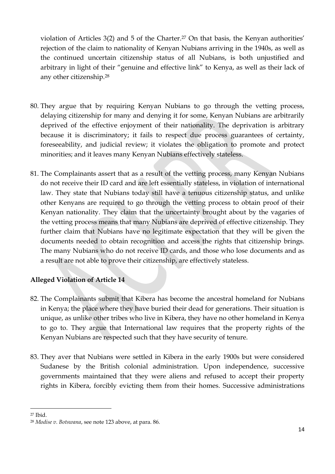violation of Articles 3(2) and 5 of the Charter.<sup>27</sup> On that basis, the Kenyan authorities' rejection of the claim to nationality of Kenyan Nubians arriving in the 1940s, as well as the continued uncertain citizenship status of all Nubians, is both unjustified and arbitrary in light of their "genuine and effective link" to Kenya, as well as their lack of any other citizenship.<sup>28</sup>

- 80. They argue that by requiring Kenyan Nubians to go through the vetting process, delaying citizenship for many and denying it for some, Kenyan Nubians are arbitrarily deprived of the effective enjoyment of their nationality. The deprivation is arbitrary because it is discriminatory; it fails to respect due process guarantees of certainty, foreseeability, and judicial review; it violates the obligation to promote and protect minorities; and it leaves many Kenyan Nubians effectively stateless.
- 81. The Complainants assert that as a result of the vetting process, many Kenyan Nubians do not receive their ID card and are left essentially stateless, in violation of international law. They state that Nubians today still have a tenuous citizenship status, and unlike other Kenyans are required to go through the vetting process to obtain proof of their Kenyan nationality. They claim that the uncertainty brought about by the vagaries of the vetting process means that many Nubians are deprived of effective citizenship. They further claim that Nubians have no legitimate expectation that they will be given the documents needed to obtain recognition and access the rights that citizenship brings. The many Nubians who do not receive ID cards, and those who lose documents and as a result are not able to prove their citizenship, are effectively stateless.

# **Alleged Violation of Article 14**

- 82. The Complainants submit that Kibera has become the ancestral homeland for Nubians in Kenya; the place where they have buried their dead for generations. Their situation is unique, as unlike other tribes who live in Kibera, they have no other homeland in Kenya to go to. They argue that International law requires that the property rights of the Kenyan Nubians are respected such that they have security of tenure.
- 83. They aver that Nubians were settled in Kibera in the early 1900s but were considered Sudanese by the British colonial administration. Upon independence, successive governments maintained that they were aliens and refused to accept their property rights in Kibera, forcibly evicting them from their homes. Successive administrations

<sup>1</sup> <sup>27</sup> Ibid.

<sup>28</sup> *Modise v. Botswana*, see note 123 above, at para. 86.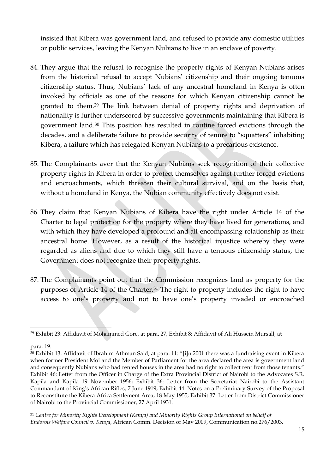insisted that Kibera was government land, and refused to provide any domestic utilities or public services, leaving the Kenyan Nubians to live in an enclave of poverty.

- 84. They argue that the refusal to recognise the property rights of Kenyan Nubians arises from the historical refusal to accept Nubians' citizenship and their ongoing tenuous citizenship status. Thus, Nubians' lack of any ancestral homeland in Kenya is often invoked by officials as one of the reasons for which Kenyan citizenship cannot be granted to them.<sup>29</sup> The link between denial of property rights and deprivation of nationality is further underscored by successive governments maintaining that Kibera is government land.<sup>30</sup> This position has resulted in routine forced evictions through the decades, and a deliberate failure to provide security of tenure to "squatters" inhabiting Kibera, a failure which has relegated Kenyan Nubians to a precarious existence.
- 85. The Complainants aver that the Kenyan Nubians seek recognition of their collective property rights in Kibera in order to protect themselves against further forced evictions and encroachments, which threaten their cultural survival, and on the basis that, without a homeland in Kenya, the Nubian community effectively does not exist.
- 86. They claim that Kenyan Nubians of Kibera have the right under Article 14 of the Charter to legal protection for the property where they have lived for generations, and with which they have developed a profound and all-encompassing relationship as their ancestral home. However, as a result of the historical injustice whereby they were regarded as aliens and due to which they still have a tenuous citizenship status, the Government does not recognize their property rights.
- 87. The Complainants point out that the Commission recognizes land as property for the purposes of Article 14 of the Charter.<sup>31</sup> The right to property includes the right to have access to one's property and not to have one's property invaded or encroached

<sup>1</sup> <sup>29</sup> Exhibit 23: Affidavit of Mohammed Gore, at para. 27; Exhibit 8: Affidavit of Ali Hussein Mursall, at

para. 19.

<sup>30</sup> Exhibit 13: Affidavit of Ibrahim Athman Said, at para. 11: "[i]n 2001 there was a fundraising event in Kibera when former President Moi and the Member of Parliament for the area declared the area is government land and consequently Nubians who had rented houses in the area had no right to collect rent from those tenants." Exhibit 46: Letter from the Officer in Charge of the Extra Provincial District of Nairobi to the Advocates S.R. Kapila and Kapila 19 November 1956; Exhibit 36: Letter from the Secretariat Nairobi to the Assistant Commandant of King's African Rifles, 7 June 1919; Exhibit 44: Notes on a Preliminary Survey of the Proposal to Reconstitute the Kibera Africa Settlement Area, 18 May 1955; Exhibit 37: Letter from District Commissioner of Nairobi to the Provincial Commissioner, 27 April 1931.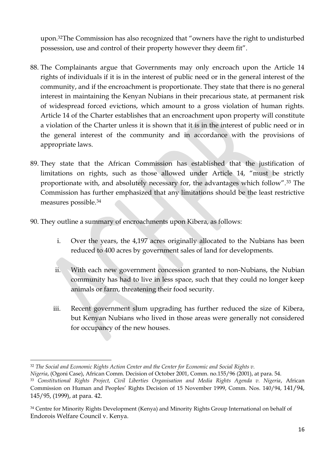upon.32The Commission has also recognized that "owners have the right to undisturbed possession, use and control of their property however they deem fit".

- 88. The Complainants argue that Governments may only encroach upon the Article 14 rights of individuals if it is in the interest of public need or in the general interest of the community, and if the encroachment is proportionate. They state that there is no general interest in maintaining the Kenyan Nubians in their precarious state, at permanent risk of widespread forced evictions, which amount to a gross violation of human rights. Article 14 of the Charter establishes that an encroachment upon property will constitute a violation of the Charter unless it is shown that it is in the interest of public need or in the general interest of the community and in accordance with the provisions of appropriate laws.
- 89. They state that the African Commission has established that the justification of limitations on rights, such as those allowed under Article 14, "must be strictly proportionate with, and absolutely necessary for, the advantages which follow".<sup>33</sup> The Commission has further emphasized that any limitations should be the least restrictive measures possible.<sup>34</sup>
- 90. They outline a summary of encroachments upon Kibera, as follows:
	- i. Over the years, the 4,197 acres originally allocated to the Nubians has been reduced to 400 acres by government sales of land for developments.
	- ii. With each new government concession granted to non-Nubians, the Nubian community has had to live in less space, such that they could no longer keep animals or farm, threatening their food security.
	- iii. Recent government slum upgrading has further reduced the size of Kibera, but Kenyan Nubians who lived in those areas were generally not considered for occupancy of the new houses.

1

*Nigeria*, (Ogoni Case), African Comm. Decision of October 2001, Comm. no.155/96 (2001), at para. 54.

<sup>32</sup> *The Social and Economic Rights Action Center and the Center for Economic and Social Rights v.*

<sup>33</sup> *Constitutional Rights Project, Civil Liberties Organisation and Media Rights Agenda v. Nigeria*, African Commission on Human and Peoples' Rights Decision of 15 November 1999, Comm. Nos. 140/94, 141/94, 145/95, (1999), at para. 42.

<sup>&</sup>lt;sup>34</sup> Centre for Minority Rights Development (Kenya) and Minority Rights Group International on behalf of Endorois Welfare Council v. Kenya.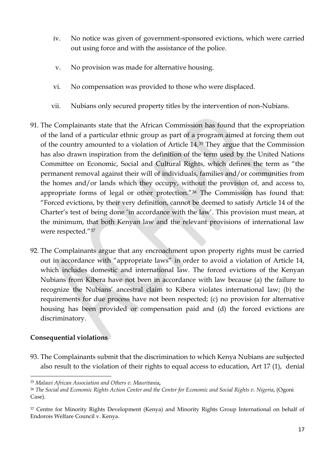- iv. No notice was given of government-sponsored evictions, which were carried out using force and with the assistance of the police.
- v. No provision was made for alternative housing.
- vi. No compensation was provided to those who were displaced.
- vii. Nubians only secured property titles by the intervention of non-Nubians.
- 91. The Complainants state that the African Commission has found that the expropriation of the land of a particular ethnic group as part of a program aimed at forcing them out of the country amounted to a violation of Article 14.<sup>35</sup> They argue that the Commission has also drawn inspiration from the definition of the term used by the United Nations Committee on Economic, Social and Cultural Rights, which defines the term as "the permanent removal against their will of individuals, families and/or communities from the homes and/or lands which they occupy, without the provision of, and access to, appropriate forms of legal or other protection."<sup>36</sup> The Commission has found that: "Forced evictions, by their very definition, cannot be deemed to satisfy Article 14 of the Charter's test of being done 'in accordance with the law'. This provision must mean, at the minimum, that both Kenyan law and the relevant provisions of international law were respected."<sup>37</sup>
- 92. The Complainants argue that any encroachment upon property rights must be carried out in accordance with "appropriate laws" in order to avoid a violation of Article 14, which includes domestic and international law. The forced evictions of the Kenyan Nubians from Kibera have not been in accordance with law because (a) the failure to recognize the Nubians' ancestral claim to Kibera violates international law; (b) the requirements for due process have not been respected; (c) no provision for alternative housing has been provided or compensation paid and (d) the forced evictions are discriminatory.

### **Consequential violations**

1

93. The Complainants submit that the discrimination to which Kenya Nubians are subjected also result to the violation of their rights to equal access to education, Art 17 (1), denial

<sup>35</sup> *Malawi African Association and Others v. Mauritania,*

<sup>36</sup> *The Social and Economic Rights Action Center and the Center for Economic and Social Rights v. Nigeria*, (Ogoni Case).

<sup>&</sup>lt;sup>37</sup> Centre for Minority Rights Development (Kenya) and Minority Rights Group International on behalf of Endorois Welfare Council v. Kenya.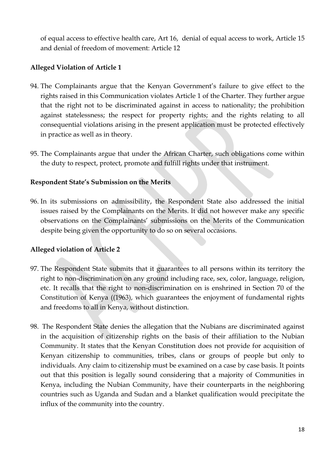of equal access to effective health care, Art 16, denial of equal access to work, Article 15 and denial of freedom of movement: Article 12

# **Alleged Violation of Article 1**

- 94. The Complainants argue that the Kenyan Government's failure to give effect to the rights raised in this Communication violates Article 1 of the Charter. They further argue that the right not to be discriminated against in access to nationality; the prohibition against statelessness; the respect for property rights; and the rights relating to all consequential violations arising in the present application must be protected effectively in practice as well as in theory.
- 95. The Complainants argue that under the African Charter, such obligations come within the duty to respect, protect, promote and fulfill rights under that instrument.

### **Respondent State's Submission on the Merits**

96. In its submissions on admissibility, the Respondent State also addressed the initial issues raised by the Complainants on the Merits. It did not however make any specific observations on the Complainants' submissions on the Merits of the Communication despite being given the opportunity to do so on several occasions.

### **Alleged violation of Article 2**

- 97. The Respondent State submits that it guarantees to all persons within its territory the right to non-discrimination on any ground including race, sex, color, language, religion, etc. It recalls that the right to non-discrimination on is enshrined in Section 70 of the Constitution of Kenya ((1963), which guarantees the enjoyment of fundamental rights and freedoms to all in Kenya, without distinction.
- 98. The Respondent State denies the allegation that the Nubians are discriminated against in the acquisition of citizenship rights on the basis of their affiliation to the Nubian Community. It states that the Kenyan Constitution does not provide for acquisition of Kenyan citizenship to communities, tribes, clans or groups of people but only to individuals. Any claim to citizenship must be examined on a case by case basis. It points out that this position is legally sound considering that a majority of Communities in Kenya, including the Nubian Community, have their counterparts in the neighboring countries such as Uganda and Sudan and a blanket qualification would precipitate the influx of the community into the country.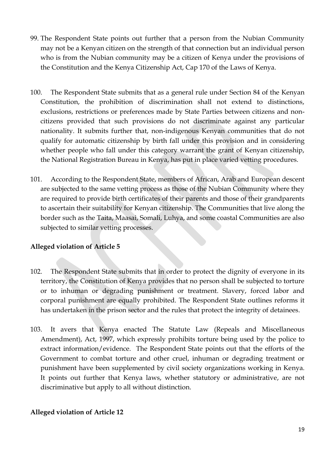- 99. The Respondent State points out further that a person from the Nubian Community may not be a Kenyan citizen on the strength of that connection but an individual person who is from the Nubian community may be a citizen of Kenya under the provisions of the Constitution and the Kenya Citizenship Act, Cap 170 of the Laws of Kenya.
- 100. The Respondent State submits that as a general rule under Section 84 of the Kenyan Constitution, the prohibition of discrimination shall not extend to distinctions, exclusions, restrictions or preferences made by State Parties between citizens and noncitizens provided that such provisions do not discriminate against any particular nationality. It submits further that, non-indigenous Kenyan communities that do not qualify for automatic citizenship by birth fall under this provision and in considering whether people who fall under this category warrant the grant of Kenyan citizenship, the National Registration Bureau in Kenya, has put in place varied vetting procedures.
- 101. According to the Respondent State, members of African, Arab and European descent are subjected to the same vetting process as those of the Nubian Community where they are required to provide birth certificates of their parents and those of their grandparents to ascertain their suitability for Kenyan citizenship. The Communities that live along the border such as the Taita, Maasai, Somali, Luhya, and some coastal Communities are also subjected to similar vetting processes.

- 102. The Respondent State submits that in order to protect the dignity of everyone in its territory, the Constitution of Kenya provides that no person shall be subjected to torture or to inhuman or degrading punishment or treatment. Slavery, forced labor and corporal punishment are equally prohibited. The Respondent State outlines reforms it has undertaken in the prison sector and the rules that protect the integrity of detainees.
- 103. It avers that Kenya enacted The Statute Law (Repeals and Miscellaneous Amendment), Act, 1997, which expressly prohibits torture being used by the police to extract information/evidence. The Respondent State points out that the efforts of the Government to combat torture and other cruel, inhuman or degrading treatment or punishment have been supplemented by civil society organizations working in Kenya. It points out further that Kenya laws, whether statutory or administrative, are not discriminative but apply to all without distinction.

# **Alleged violation of Article 12**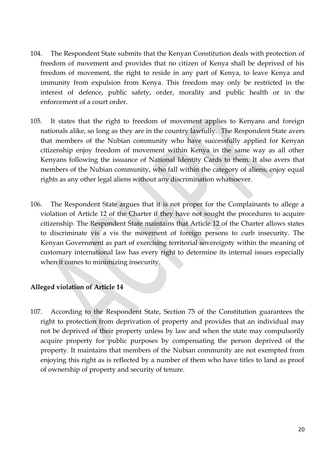- 104. The Respondent State submits that the Kenyan Constitution deals with protection of freedom of movement and provides that no citizen of Kenya shall be deprived of his freedom of movement, the right to reside in any part of Kenya, to leave Kenya and immunity from expulsion from Kenya. This freedom may only be restricted in the interest of defence, public safety, order, morality and public health or in the enforcement of a court order.
- 105. It states that the right to freedom of movement applies to Kenyans and foreign nationals alike, so long as they are in the country lawfully. The Respondent State avers that members of the Nubian community who have successfully applied for Kenyan citizenship enjoy freedom of movement within Kenya in the same way as all other Kenyans following the issuance of National Identity Cards to them. It also avers that members of the Nubian community, who fall within the category of aliens, enjoy equal rights as any other legal aliens without any discrimination whatsoever.
- 106. The Respondent State argues that it is not proper for the Complainants to allege a violation of Article 12 of the Charter if they have not sought the procedures to acquire citizenship. The Respondent State maintains that Article 12 of the Charter allows states to discriminate vis a vis the movement of foreign persons to curb insecurity. The Kenyan Government as part of exercising territorial sovereignty within the meaning of customary international law has every right to determine its internal issues especially when it comes to minimizing insecurity.

107. According to the Respondent State, Section 75 of the Constitution guarantees the right to protection from deprivation of property and provides that an individual may not be deprived of their property unless by law and when the state may compulsorily acquire property for public purposes by compensating the person deprived of the property. It maintains that members of the Nubian community are not exempted from enjoying this right as is reflected by a number of them who have titles to land as proof of ownership of property and security of tenure.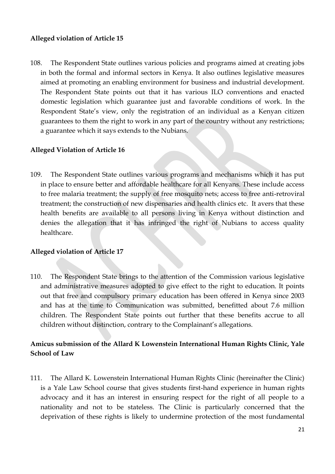108. The Respondent State outlines various policies and programs aimed at creating jobs in both the formal and informal sectors in Kenya. It also outlines legislative measures aimed at promoting an enabling environment for business and industrial development. The Respondent State points out that it has various ILO conventions and enacted domestic legislation which guarantee just and favorable conditions of work. In the Respondent State's view, only the registration of an individual as a Kenyan citizen guarantees to them the right to work in any part of the country without any restrictions; a guarantee which it says extends to the Nubians.

#### **Alleged Violation of Article 16**

109. The Respondent State outlines various programs and mechanisms which it has put in place to ensure better and affordable healthcare for all Kenyans. These include access to free malaria treatment; the supply of free mosquito nets; access to free anti-retroviral treatment; the construction of new dispensaries and health clinics etc. It avers that these health benefits are available to all persons living in Kenya without distinction and denies the allegation that it has infringed the right of Nubians to access quality healthcare.

#### **Alleged violation of Article 17**

110. The Respondent State brings to the attention of the Commission various legislative and administrative measures adopted to give effect to the right to education. It points out that free and compulsory primary education has been offered in Kenya since 2003 and has at the time to Communication was submitted, benefitted about 7.6 million children. The Respondent State points out further that these benefits accrue to all children without distinction, contrary to the Complainant's allegations.

# **Amicus submission of the Allard K Lowenstein International Human Rights Clinic, Yale School of Law**

111. The Allard K. Lowenstein International Human Rights Clinic (hereinafter the Clinic) is a Yale Law School course that gives students first-hand experience in human rights advocacy and it has an interest in ensuring respect for the right of all people to a nationality and not to be stateless. The Clinic is particularly concerned that the deprivation of these rights is likely to undermine protection of the most fundamental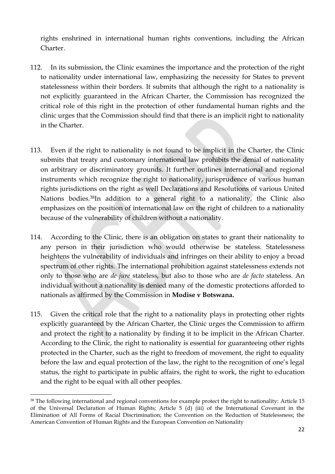rights enshrined in international human rights conventions, including the African Charter.

- 112. In its submission, the Clinic examines the importance and the protection of the right to nationality under international law, emphasizing the necessity for States to prevent statelessness within their borders. It submits that although the right to a nationality is not explicitly guaranteed in the African Charter, the Commission has recognized the critical role of this right in the protection of other fundamental human rights and the clinic urges that the Commission should find that there is an implicit right to nationality in the Charter.
- 113. Even if the right to nationality is not found to be implicit in the Charter, the Clinic submits that treaty and customary international law prohibits the denial of nationality on arbitrary or discriminatory grounds. It further outlines international and regional instruments which recognize the right to nationality, jurisprudence of various human rights jurisdictions on the right as well Declarations and Resolutions of various United Nations bodies.38In addition to a general right to a nationality, the Clinic also emphasizes on the position of international law on the right of children to a nationality because of the vulnerability of children without a nationality.
- 114. According to the Clinic, there is an obligation on states to grant their nationality to any person in their jurisdiction who would otherwise be stateless. Statelessness heightens the vulnerability of individuals and infringes on their ability to enjoy a broad spectrum of other rights. The international prohibition against statelessness extends not only to those who are *de jure* stateless, but also to those who are *de facto* stateless. An individual without a nationality is denied many of the domestic protections afforded to nationals as affirmed by the Commission in **Modise v Botswana.**
- 115. Given the critical role that the right to a nationality plays in protecting other rights explicitly guaranteed by the African Charter, the Clinic urges the Commission to affirm and protect the right to a nationality by finding it to be implicit in the African Charter. According to the Clinic, the right to nationality is essential for guaranteeing other rights protected in the Charter, such as the right to freedom of movement, the right to equality before the law and equal protection of the law, the right to the recognition of one's legal status, the right to participate in public affairs, the right to work, the right to education and the right to be equal with all other peoples.

<sup>38</sup> The following international and regional conventions for example protect the right to nationality: Article 15 of the Universal Declaration of Human Rights; Article 5 (d) (iii) of the International Covenant in the Elimination of All Forms of Racial Discrimination; the Convention on the Reduction of Statelessness; the American Convention of Human Rights and the European Convention on Nationality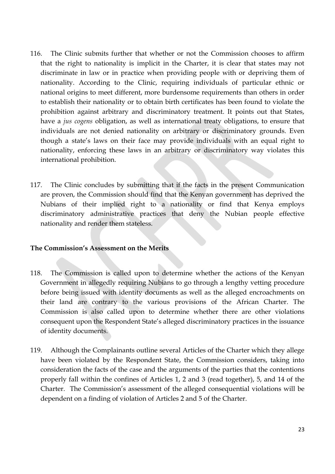- 116. The Clinic submits further that whether or not the Commission chooses to affirm that the right to nationality is implicit in the Charter, it is clear that states may not discriminate in law or in practice when providing people with or depriving them of nationality. According to the Clinic, requiring individuals of particular ethnic or national origins to meet different, more burdensome requirements than others in order to establish their nationality or to obtain birth certificates has been found to violate the prohibition against arbitrary and discriminatory treatment. It points out that States, have a *jus cogens* obligation, as well as international treaty obligations, to ensure that individuals are not denied nationality on arbitrary or discriminatory grounds. Even though a state's laws on their face may provide individuals with an equal right to nationality, enforcing these laws in an arbitrary or discriminatory way violates this international prohibition.
- 117. The Clinic concludes by submitting that if the facts in the present Communication are proven, the Commission should find that the Kenyan government has deprived the Nubians of their implied right to a nationality or find that Kenya employs discriminatory administrative practices that deny the Nubian people effective nationality and render them stateless.

#### **The Commission's Assessment on the Merits**

- 118. The Commission is called upon to determine whether the actions of the Kenyan Government in allegedly requiring Nubians to go through a lengthy vetting procedure before being issued with identity documents as well as the alleged encroachments on their land are contrary to the various provisions of the African Charter. The Commission is also called upon to determine whether there are other violations consequent upon the Respondent State's alleged discriminatory practices in the issuance of identity documents.
- 119. Although the Complainants outline several Articles of the Charter which they allege have been violated by the Respondent State, the Commission considers, taking into consideration the facts of the case and the arguments of the parties that the contentions properly fall within the confines of Articles 1, 2 and 3 (read together), 5, and 14 of the Charter. The Commission's assessment of the alleged consequential violations will be dependent on a finding of violation of Articles 2 and 5 of the Charter.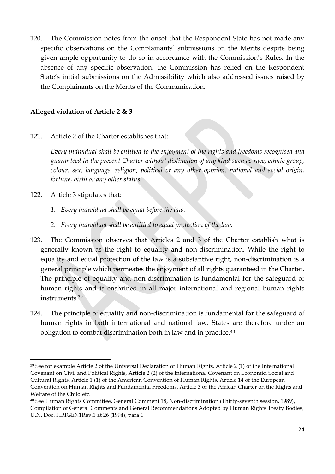120. The Commission notes from the onset that the Respondent State has not made any specific observations on the Complainants' submissions on the Merits despite being given ample opportunity to do so in accordance with the Commission's Rules. In the absence of any specific observation, the Commission has relied on the Respondent State's initial submissions on the Admissibility which also addressed issues raised by the Complainants on the Merits of the Communication.

# **Alleged violation of Article 2 & 3**

121. Article 2 of the Charter establishes that:

*Every individual shall be entitled to the enjoyment of the rights and freedoms recognised and guaranteed in the present Charter without distinction of any kind such as race, ethnic group, colour, sex, language, religion, political or any other opinion, national and social origin, fortune, birth or any other status.* 

122. Article 3 stipulates that:

1

- *1. Every individual shall be equal before the law.*
- *2. Every individual shall be entitled to equal protection of the law.*
- 123. The Commission observes that Articles 2 and 3 of the Charter establish what is generally known as the right to equality and non-discrimination. While the right to equality and equal protection of the law is a substantive right, non-discrimination is a general principle which permeates the enjoyment of all rights guaranteed in the Charter. The principle of equality and non-discrimination is fundamental for the safeguard of human rights and is enshrined in all major international and regional human rights instruments.<sup>39</sup>
- 124. The principle of equality and non-discrimination is fundamental for the safeguard of human rights in both international and national law. States are therefore under an obligation to combat discrimination both in law and in practice.<sup>40</sup>

<sup>39</sup> See for example Article 2 of the Universal Declaration of Human Rights, Article 2 (1) of the International Covenant on Civil and Political Rights, Article 2 (2) of the International Covenant on Economic, Social and Cultural Rights, Article 1 (1) of the American Convention of Human Rights, Article 14 of the European Convention on Human Rights and Fundamental Freedoms, Article 3 of the African Charter on the Rights and Welfare of the Child etc.

<sup>40</sup> See Human Rights Committee, General Comment 18, Non-discrimination (Thirty-seventh session, 1989), Compilation of General Comments and General Recommendations Adopted by Human Rights Treaty Bodies, U.N. Doc. HRIGEN1Rev.1 at 26 (1994), para 1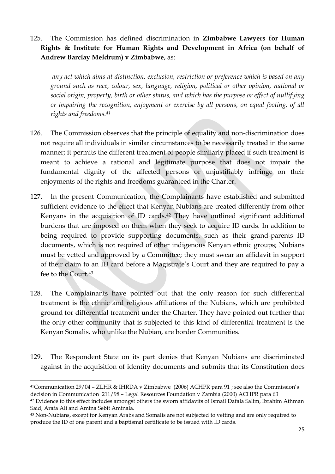125. The Commission has defined discrimination in **Zimbabwe Lawyers for Human Rights & Institute for Human Rights and Development in Africa (on behalf of Andrew Barclay Meldrum) v Zimbabwe**, as:

*any act which aims at distinction, exclusion, restriction or preference which is based on any ground such as race, colour, sex, language, religion, political or other opinion, national or social origin, property, birth or other status, and which has the purpose or effect of nullifying or impairing the recognition, enjoyment or exercise by all persons, on equal footing, of all rights and freedoms.<sup>41</sup>*

- 126. The Commission observes that the principle of equality and non-discrimination does not require all individuals in similar circumstances to be necessarily treated in the same manner; it permits the different treatment of people similarly placed if such treatment is meant to achieve a rational and legitimate purpose that does not impair the fundamental dignity of the affected persons or unjustifiably infringe on their enjoyments of the rights and freedoms guaranteed in the Charter.
- 127. In the present Communication, the Complainants have established and submitted sufficient evidence to the effect that Kenyan Nubians are treated differently from other Kenyans in the acquisition of ID cards.<sup>42</sup> They have outlined significant additional burdens that are imposed on them when they seek to acquire ID cards. In addition to being required to provide supporting documents, such as their grand-parents ID documents, which is not required of other indigenous Kenyan ethnic groups; Nubians must be vetted and approved by a Committee; they must swear an affidavit in support of their claim to an ID card before a Magistrate's Court and they are required to pay a fee to the Court.<sup>43</sup>
- 128. The Complainants have pointed out that the only reason for such differential treatment is the ethnic and religious affiliations of the Nubians, which are prohibited ground for differential treatment under the Charter. They have pointed out further that the only other community that is subjected to this kind of differential treatment is the Kenyan Somalis, who unlike the Nubian, are border Communities.
- 129. The Respondent State on its part denies that Kenyan Nubians are discriminated against in the acquisition of identity documents and submits that its Constitution does

 $\overline{a}$ 

<sup>41</sup>Communication 29/04 – ZLHR & IHRDA v Zimbabwe (2006) ACHPR para 91 ; see also the Commission's decision in Communication 211/98 – Legal Resources Foundation v Zambia (2000) ACHPR para 63

<sup>42</sup> Evidence to this effect includes amongst others the sworn affidavits of Ismail Dafala Salim, Ibrahim Athman Said, Arafa Ali and Amina Sebit Aminala.

<sup>43</sup> Non-Nubians, except for Kenyan Arabs and Somalis are not subjected to vetting and are only required to produce the ID of one parent and a baptismal certificate to be issued with ID cards.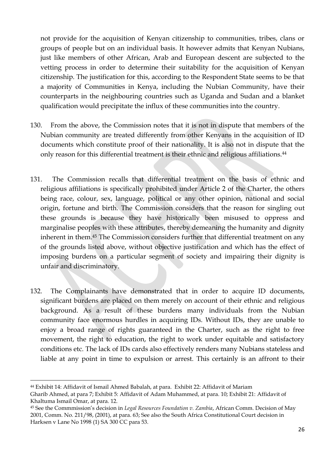not provide for the acquisition of Kenyan citizenship to communities, tribes, clans or groups of people but on an individual basis. It however admits that Kenyan Nubians, just like members of other African, Arab and European descent are subjected to the vetting process in order to determine their suitability for the acquisition of Kenyan citizenship. The justification for this, according to the Respondent State seems to be that a majority of Communities in Kenya, including the Nubian Community, have their counterparts in the neighbouring countries such as Uganda and Sudan and a blanket qualification would precipitate the influx of these communities into the country.

- 130. From the above, the Commission notes that it is not in dispute that members of the Nubian community are treated differently from other Kenyans in the acquisition of ID documents which constitute proof of their nationality. It is also not in dispute that the only reason for this differential treatment is their ethnic and religious affiliations.<sup>44</sup>
- 131. The Commission recalls that differential treatment on the basis of ethnic and religious affiliations is specifically prohibited under Article 2 of the Charter, the others being race, colour, sex, language, political or any other opinion, national and social origin, fortune and birth. The Commission considers that the reason for singling out these grounds is because they have historically been misused to oppress and marginalise peoples with these attributes, thereby demeaning the humanity and dignity inherent in them.<sup>45</sup> The Commission considers further that differential treatment on any of the grounds listed above, without objective justification and which has the effect of imposing burdens on a particular segment of society and impairing their dignity is unfair and discriminatory.
- 132. The Complainants have demonstrated that in order to acquire ID documents, significant burdens are placed on them merely on account of their ethnic and religious background. As a result of these burdens many individuals from the Nubian community face enormous hurdles in acquiring IDs. Without IDs, they are unable to enjoy a broad range of rights guaranteed in the Charter, such as the right to free movement, the right to education, the right to work under equitable and satisfactory conditions etc. The lack of IDs cards also effectively renders many Nubians stateless and liable at any point in time to expulsion or arrest. This certainly is an affront to their

 $\overline{a}$ <sup>44</sup> Exhibit 14: Affidavit of Ismail Ahmed Babalah, at para. Exhibit 22: Affidavit of Mariam

Gharib Ahmed, at para 7; Exhibit 5: Affidavit of Adam Muhammed, at para. 10; Exhibit 21: Affidavit of Khaltuma Ismail Omar, at para. 12.

<sup>45</sup> See the Commmission's decision in *Legal Resources Foundation v. Zambia*, African Comm. Decision of May 2001, Comm. No. 211/98, (2001), at para. 63; See also the South Africa Constitutional Court decision in Harksen v Lane No 1998 (1) SA 300 CC para 53.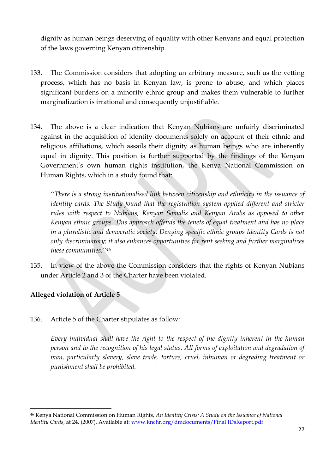dignity as human beings deserving of equality with other Kenyans and equal protection of the laws governing Kenyan citizenship.

- 133. The Commission considers that adopting an arbitrary measure, such as the vetting process, which has no basis in Kenyan law, is prone to abuse, and which places significant burdens on a minority ethnic group and makes them vulnerable to further marginalization is irrational and consequently unjustifiable.
- 134. The above is a clear indication that Kenyan Nubians are unfairly discriminated against in the acquisition of identity documents solely on account of their ethnic and religious affiliations, which assails their dignity as human beings who are inherently equal in dignity. This position is further supported by the findings of the Kenyan Government's own human rights institution, the Kenya National Commission on Human Rights, which in a study found that:

*''There is a strong institutionalised link between citizenship and ethnicity in the issuance of identity cards. The Study found that the registration system applied different and stricter rules with respect to Nubians, Kenyan Somalis and Kenyan Arabs as opposed to other Kenyan ethnic groups. This approach offends the tenets of equal treatment and has no place in a pluralistic and democratic society. Denying specific ethnic groups Identity Cards is not only discriminatory; it also enhances opportunities for rent seeking and further marginalizes these communities.''<sup>46</sup>*

135. In view of the above the Commission considers that the rights of Kenyan Nubians under Article 2 and 3 of the Charter have been violated.

# **Alleged violation of Article 5**

1

136. Article 5 of the Charter stipulates as follow:

*Every individual shall have the right to the respect of the dignity inherent in the human person and to the recognition of his legal status. All forms of exploitation and degradation of man, particularly slavery, slave trade, torture, cruel, inhuman or degrading treatment or punishment shall be prohibited.* 

<sup>46</sup> Kenya National Commission on Human Rights, *An Identity Crisis: A Study on the Issuance of National Identity Cards*, at 24. (2007). Available at: [www.knchr.org/dmdocuments/Final IDsReport.pdf](http://www.knchr.org/dmdocuments/Final%20IDsReport.pdf)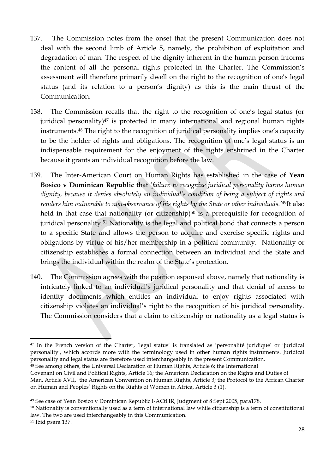- 137. The Commission notes from the onset that the present Communication does not deal with the second limb of Article 5, namely, the prohibition of exploitation and degradation of man. The respect of the dignity inherent in the human person informs the content of all the personal rights protected in the Charter. The Commission's assessment will therefore primarily dwell on the right to the recognition of one's legal status (and its relation to a person's dignity) as this is the main thrust of the Communication.
- 138. The Commission recalls that the right to the recognition of one's legal status (or juridical personality) $47$  is protected in many international and regional human rights instruments.<sup>48</sup> The right to the recognition of juridical personality implies one's capacity to be the holder of rights and obligations. The recognition of one's legal status is an indispensable requirement for the enjoyment of the rights enshrined in the Charter because it grants an individual recognition before the law.
- 139. The Inter-American Court on Human Rights has established in the case of **Yean Bosico v Dominican Republic** that '*failure to recognize juridical personality harms human dignity, because it denies absolutely an individual's condition of being a subject of rights and renders him vulnerable to non-observance of his rights by the State or other individuals.'*49It also held in that case that nationality (or citizenship)<sup>50</sup> is a prerequisite for recognition of juridical personality.<sup>51</sup> Nationality is the legal and political bond that connects a person to a specific State and allows the person to acquire and exercise specific rights and obligations by virtue of his/her membership in a political community. Nationality or citizenship establishes a formal connection between an individual and the State and brings the individual within the realm of the State's protection.
- 140. The Commission agrees with the position espoused above, namely that nationality is intricately linked to an individual's juridical personality and that denial of access to identity documents which entitles an individual to enjoy rights associated with citizenship violates an individual's right to the recognition of his juridical personality. The Commission considers that a claim to citizenship or nationality as a legal status is

**<sup>.</sup>** <sup>47</sup> In the French version of the Charter, 'legal status' is translated as 'personalité juridique' or 'juridical personality', which accords more with the terminology used in other human rights instruments. Juridical personality and legal status are therefore used interchangeably in the present Communication.

<sup>48</sup> See among others, the Universal Declaration of Human Rights, Article 6; the International

Covenant on Civil and Political Rights, Article 16; the American Declaration on the Rights and Duties of Man, Article XVII, the American Convention on Human Rights, Article 3; the Protocol to the African Charter on Human and Peoples' Rights on the Rights of Women in Africa, Article 3 (1).

<sup>49</sup> See case of Yean Bosico v Dominican Republic I-ACtHR, Judgment of 8 Sept 2005, para178.

<sup>50</sup> Nationality is conventionally used as a term of international law while citizenship is a term of constitutional law. The two are used interchangeably in this Communication.

<sup>51</sup> Ibid psara 137.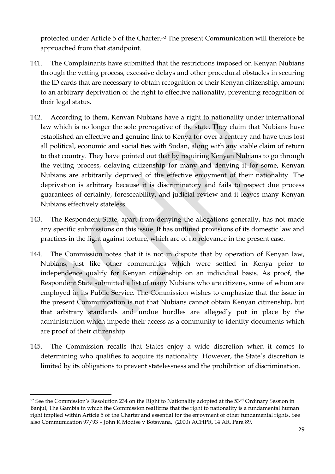protected under Article 5 of the Charter.<sup>52</sup> The present Communication will therefore be approached from that standpoint.

- 141. The Complainants have submitted that the restrictions imposed on Kenyan Nubians through the vetting process, excessive delays and other procedural obstacles in securing the ID cards that are necessary to obtain recognition of their Kenyan citizenship, amount to an arbitrary deprivation of the right to effective nationality, preventing recognition of their legal status.
- 142. According to them, Kenyan Nubians have a right to nationality under international law which is no longer the sole prerogative of the state. They claim that Nubians have established an effective and genuine link to Kenya for over a century and have thus lost all political, economic and social ties with Sudan, along with any viable claim of return to that country. They have pointed out that by requiring Kenyan Nubians to go through the vetting process, delaying citizenship for many and denying it for some, Kenyan Nubians are arbitrarily deprived of the effective enjoyment of their nationality. The deprivation is arbitrary because it is discriminatory and fails to respect due process guarantees of certainty, foreseeability, and judicial review and it leaves many Kenyan Nubians effectively stateless.
- 143. The Respondent State, apart from denying the allegations generally, has not made any specific submissions on this issue. It has outlined provisions of its domestic law and practices in the fight against torture, which are of no relevance in the present case.
- 144. The Commission notes that it is not in dispute that by operation of Kenyan law, Nubians, just like other communities which were settled in Kenya prior to independence qualify for Kenyan citizenship on an individual basis. As proof, the Respondent State submitted a list of many Nubians who are citizens, some of whom are employed in its Public Service. The Commission wishes to emphasize that the issue in the present Communication is not that Nubians cannot obtain Kenyan citizenship, but that arbitrary standards and undue hurdles are allegedly put in place by the administration which impede their access as a community to identity documents which are proof of their citizenship.
- 145. The Commission recalls that States enjoy a wide discretion when it comes to determining who qualifies to acquire its nationality. However, the State's discretion is limited by its obligations to prevent statelessness and the prohibition of discrimination.

 $52$  See the Commission's Resolution 234 on the Right to Nationality adopted at the  $53<sup>rd</sup>$  Ordinary Session in Banjul, The Gambia in which the Commission reaffirms that the right to nationality is a fundamental human right implied within Article 5 of the Charter and essential for the enjoyment of other fundamental rights. See also Communication 97/93 – John K Modise v Botswana, (2000) ACHPR, 14 AR. Para 89.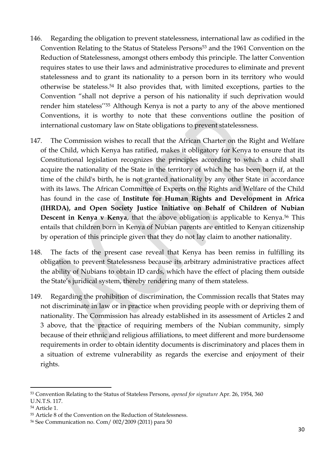- 146. Regarding the obligation to prevent statelessness, international law as codified in the Convention Relating to the Status of Stateless Persons<sup>53</sup> and the 1961 Convention on the Reduction of Statelessness, amongst others embody this principle. The latter Convention requires states to use their laws and administrative procedures to eliminate and prevent statelessness and to grant its nationality to a person born in its territory who would otherwise be stateless. <sup>54</sup> It also provides that, with limited exceptions, parties to the Convention "shall not deprive a person of his nationality if such deprivation would render him stateless'' <sup>55</sup> Although Kenya is not a party to any of the above mentioned Conventions, it is worthy to note that these conventions outline the position of international customary law on State obligations to prevent statelessness.
- 147. The Commission wishes to recall that the African Charter on the Right and Welfare of the Child, which Kenya has ratified, makes it obligatory for Kenya to ensure that its Constitutional legislation recognizes the principles according to which a child shall acquire the nationality of the State in the territory of which he has been born if, at the time of the child's birth, he is not granted nationality by any other State in accordance with its laws. The African Committee of Experts on the Rights and Welfare of the Child has found in the case of **Institute for Human Rights and Development in Africa (IHRDA), and Open Society Justice Initiative on Behalf of Children of Nubian Descent in Kenya v Kenya**, that the above obligation is applicable to Kenya.<sup>56</sup> This entails that children born in Kenya of Nubian parents are entitled to Kenyan citizenship by operation of this principle given that they do not lay claim to another nationality.
- 148. The facts of the present case reveal that Kenya has been remiss in fulfilling its obligation to prevent Statelessness because its arbitrary administrative practices affect the ability of Nubians to obtain ID cards, which have the effect of placing them outside the State's juridical system, thereby rendering many of them stateless.
- 149. Regarding the prohibition of discrimination, the Commission recalls that States may not discriminate in law or in practice when providing people with or depriving them of nationality. The Commission has already established in its assessment of Articles 2 and 3 above, that the practice of requiring members of the Nubian community, simply because of their ethnic and religious affiliations, to meet different and more burdensome requirements in order to obtain identity documents is discriminatory and places them in a situation of extreme vulnerability as regards the exercise and enjoyment of their rights.

<sup>53</sup> Convention Relating to the Status of Stateless Persons, *opened for signature* Apr. 26, 1954, 360 U.N.T.S. 117.

<sup>54</sup> Article 1.

<sup>55</sup> Article 8 of the Convention on the Reduction of Statelessness.

<sup>56</sup> See Communication no. Com/ 002/2009 (2011) para 50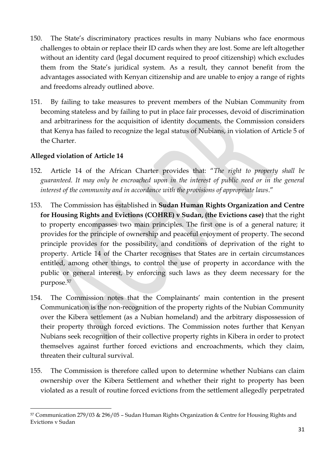- 150. The State's discriminatory practices results in many Nubians who face enormous challenges to obtain or replace their ID cards when they are lost. Some are left altogether without an identity card (legal document required to proof citizenship) which excludes them from the State's juridical system. As a result, they cannot benefit from the advantages associated with Kenyan citizenship and are unable to enjoy a range of rights and freedoms already outlined above.
- 151. By failing to take measures to prevent members of the Nubian Community from becoming stateless and by failing to put in place fair processes, devoid of discrimination and arbitrariness for the acquisition of identity documents, the Commission considers that Kenya has failed to recognize the legal status of Nubians, in violation of Article 5 of the Charter.

1

- 152. Article 14 of the African Charter provides that: "*The right to property shall be guaranteed. It may only be encroached upon in the interest of public need or in the general interest of the community and in accordance with the provisions of appropriate laws*."
- 153. The Commission has established in **Sudan Human Rights Organization and Centre for Housing Rights and Evictions (COHRE) v Sudan, (the Evictions case)** that the right to property encompasses two main principles. The first one is of a general nature; it provides for the principle of ownership and peaceful enjoyment of property. The second principle provides for the possibility, and conditions of deprivation of the right to property. Article 14 of the Charter recognises that States are in certain circumstances entitled, among other things, to control the use of property in accordance with the public or general interest, by enforcing such laws as they deem necessary for the purpose.<sup>57</sup>
- 154. The Commission notes that the Complainants' main contention in the present Communication is the non-recognition of the property rights of the Nubian Community over the Kibera settlement (as a Nubian homeland) and the arbitrary dispossession of their property through forced evictions. The Commission notes further that Kenyan Nubians seek recognition of their collective property rights in Kibera in order to protect themselves against further forced evictions and encroachments, which they claim, threaten their cultural survival.
- 155. The Commission is therefore called upon to determine whether Nubians can claim ownership over the Kibera Settlement and whether their right to property has been violated as a result of routine forced evictions from the settlement allegedly perpetrated

<sup>57</sup> Communication 279/03 & 296/05 – Sudan Human Rights Organization & Centre for Housing Rights and Evictions v Sudan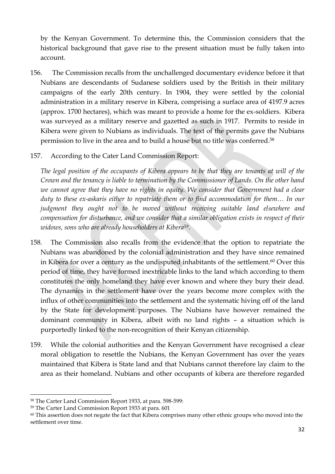by the Kenyan Government. To determine this, the Commission considers that the historical background that gave rise to the present situation must be fully taken into account.

- 156. The Commission recalls from the unchallenged documentary evidence before it that Nubians are descendants of Sudanese soldiers used by the British in their military campaigns of the early 20th century. In 1904, they were settled by the colonial administration in a military reserve in Kibera, comprising a surface area of 4197.9 acres (approx. 1700 hectares), which was meant to provide a home for the ex-soldiers. Kibera was surveyed as a military reserve and gazetted as such in 1917. Permits to reside in Kibera were given to Nubians as individuals. The text of the permits gave the Nubians permission to live in the area and to build a house but no title was conferred.<sup>58</sup>
- 157. According to the Cater Land Commission Report:

*The legal position of the occupants of Kibera appears to be that they are tenants at will of the Crown and the tenancy is liable to termination by the Commissioner of Lands. On the other hand we cannot agree that they have no rights in equity. We consider that Government had a clear duty to these ex-askaris either to repatriate them or to find accommodation for them… In our judgment they ought not to be moved without receiving suitable land elsewhere and compensation for disturbance, and we consider that a similar obligation exists in respect of their widows, sons who are already householders at Kibera59*.

- 158. The Commission also recalls from the evidence that the option to repatriate the Nubians was abandoned by the colonial administration and they have since remained in Kibera for over a century as the undisputed inhabitants of the settlement.<sup>60</sup> Over this period of time, they have formed inextricable links to the land which according to them constitutes the only homeland they have ever known and where they bury their dead. The dynamics in the settlement have over the years become more complex with the influx of other communities into the settlement and the systematic hiving off of the land by the State for development purposes. The Nubians have however remained the dominant community in Kibera, albeit with no land rights – a situation which is purportedly linked to the non-recognition of their Kenyan citizenship.
- 159. While the colonial authorities and the Kenyan Government have recognised a clear moral obligation to resettle the Nubians, the Kenyan Government has over the years maintained that Kibera is State land and that Nubians cannot therefore lay claim to the area as their homeland. Nubians and other occupants of kibera are therefore regarded

<sup>58</sup> The Carter Land Commission Report 1933, at para. 598-599:

<sup>59</sup> The Carter Land Commission Report 1933 at para. 601

<sup>60</sup> This assertion does not negate the fact that Kibera comprises many other ethnic groups who moved into the settlement over time.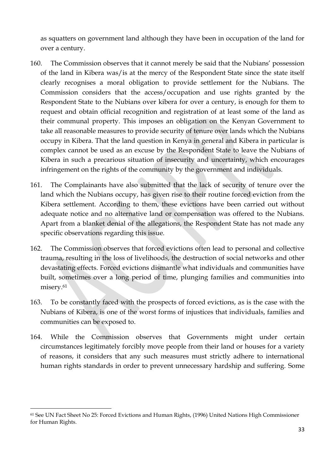as squatters on government land although they have been in occupation of the land for over a century.

- 160. The Commission observes that it cannot merely be said that the Nubians' possession of the land in Kibera was/is at the mercy of the Respondent State since the state itself clearly recognises a moral obligation to provide settlement for the Nubians. The Commission considers that the access/occupation and use rights granted by the Respondent State to the Nubians over kibera for over a century, is enough for them to request and obtain official recognition and registration of at least some of the land as their communal property. This imposes an obligation on the Kenyan Government to take all reasonable measures to provide security of tenure over lands which the Nubians occupy in Kibera. That the land question in Kenya in general and Kibera in particular is complex cannot be used as an excuse by the Respondent State to leave the Nubians of Kibera in such a precarious situation of insecurity and uncertainty, which encourages infringement on the rights of the community by the government and individuals.
- 161. The Complainants have also submitted that the lack of security of tenure over the land which the Nubians occupy, has given rise to their routine forced eviction from the Kibera settlement. According to them, these evictions have been carried out without adequate notice and no alternative land or compensation was offered to the Nubians. Apart from a blanket denial of the allegations, the Respondent State has not made any specific observations regarding this issue.
- 162. The Commission observes that forced evictions often lead to personal and collective trauma, resulting in the loss of livelihoods, the destruction of social networks and other devastating effects. Forced evictions dismantle what individuals and communities have built, sometimes over a long period of time, plunging families and communities into misery.<sup>61</sup>
- 163. To be constantly faced with the prospects of forced evictions, as is the case with the Nubians of Kibera, is one of the worst forms of injustices that individuals, families and communities can be exposed to.
- 164. While the Commission observes that Governments might under certain circumstances legitimately forcibly move people from their land or houses for a variety of reasons, it considers that any such measures must strictly adhere to international human rights standards in order to prevent unnecessary hardship and suffering. Some

1

<sup>61</sup> See UN Fact Sheet No 25: Forced Evictions and Human Rights, (1996) United Nations High Commissioner for Human Rights.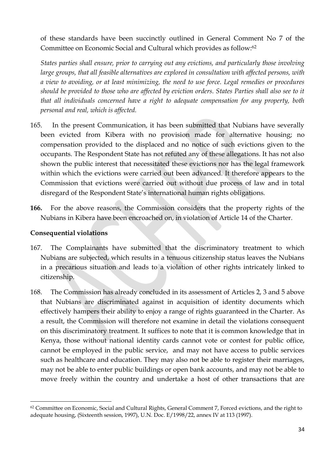of these standards have been succinctly outlined in General Comment No 7 of the Committee on Economic Social and Cultural which provides as follow:<sup>62</sup>

*States parties shall ensure, prior to carrying out any evictions, and particularly those involving large groups, that all feasible alternatives are explored in consultation with affected persons, with a view to avoiding, or at least minimizing, the need to use force. Legal remedies or procedures should be provided to those who are affected by eviction orders. States Parties shall also see to it that all individuals concerned have a right to adequate compensation for any property, both personal and real, which is affected.*

- 165. In the present Communication, it has been submitted that Nubians have severally been evicted from Kibera with no provision made for alternative housing; no compensation provided to the displaced and no notice of such evictions given to the occupants. The Respondent State has not refuted any of these allegations. It has not also shown the public interest that necessitated these evictions nor has the legal framework within which the evictions were carried out been advanced. It therefore appears to the Commission that evictions were carried out without due process of law and in total disregard of the Respondent State's international human rights obligations.
- **166.** For the above reasons, the Commission considers that the property rights of the Nubians in Kibera have been encroached on, in violation of Article 14 of the Charter.

#### **Consequential violations**

- 167. The Complainants have submitted that the discriminatory treatment to which Nubians are subjected, which results in a tenuous citizenship status leaves the Nubians in a precarious situation and leads to a violation of other rights intricately linked to citizenship.
- 168. The Commission has already concluded in its assessment of Articles 2, 3 and 5 above that Nubians are discriminated against in acquisition of identity documents which effectively hampers their ability to enjoy a range of rights guaranteed in the Charter. As a result, the Commission will therefore not examine in detail the violations consequent on this discriminatory treatment. It suffices to note that it is common knowledge that in Kenya, those without national identity cards cannot vote or contest for public office, cannot be employed in the public service, and may not have access to public services such as healthcare and education. They may also not be able to register their marriages, may not be able to enter public buildings or open bank accounts, and may not be able to move freely within the country and undertake a host of other transactions that are

<sup>&</sup>lt;sup>62</sup> Committee on Economic, Social and Cultural Rights, General Comment 7, Forced evictions, and the right to adequate housing, (Sixteenth session, 1997), U.N. Doc. E/1998/22, annex IV at 113 (1997).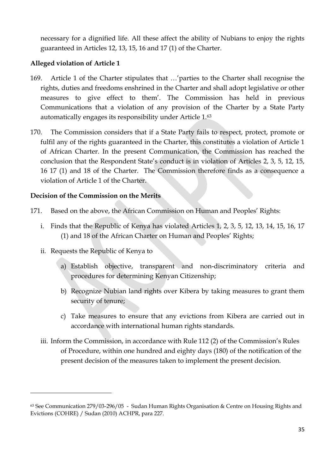necessary for a dignified life. All these affect the ability of Nubians to enjoy the rights guaranteed in Articles 12, 13, 15, 16 and 17 (1) of the Charter.

### **Alleged violation of Article 1**

- 169. Article 1 of the Charter stipulates that …'parties to the Charter shall recognise the rights, duties and freedoms enshrined in the Charter and shall adopt legislative or other measures to give effect to them'. The Commission has held in previous Communications that a violation of any provision of the Charter by a State Party automatically engages its responsibility under Article 1.<sup>63</sup>
- 170. The Commission considers that if a State Party fails to respect, protect, promote or fulfil any of the rights guaranteed in the Charter, this constitutes a violation of Article 1 of African Charter. In the present Communication, the Commission has reached the conclusion that the Respondent State's conduct is in violation of Articles 2, 3, 5, 12, 15, 16 17 (1) and 18 of the Charter. The Commission therefore finds as a consequence a violation of Article 1 of the Charter.

### **Decision of the Commission on the Merits**

- 171. Based on the above, the African Commission on Human and Peoples' Rights:
	- i. Finds that the Republic of Kenya has violated Articles 1, 2, 3, 5, 12, 13, 14, 15, 16, 17 (1) and 18 of the African Charter on Human and Peoples' Rights;
	- ii. Requests the Republic of Kenya to

- a) Establish objective, transparent and non-discriminatory criteria and procedures for determining Kenyan Citizenship;
- b) Recognize Nubian land rights over Kibera by taking measures to grant them security of tenure;
- c) Take measures to ensure that any evictions from Kibera are carried out in accordance with international human rights standards.
- iii. Inform the Commission, in accordance with Rule 112 (2) of the Commission's Rules of Procedure, within one hundred and eighty days (180) of the notification of the present decision of the measures taken to implement the present decision.

<sup>63</sup> See Communication 279/03-296/05 - Sudan Human Rights Organisation & Centre on Housing Rights and Evictions (COHRE) / Sudan (2010) ACHPR, para 227.